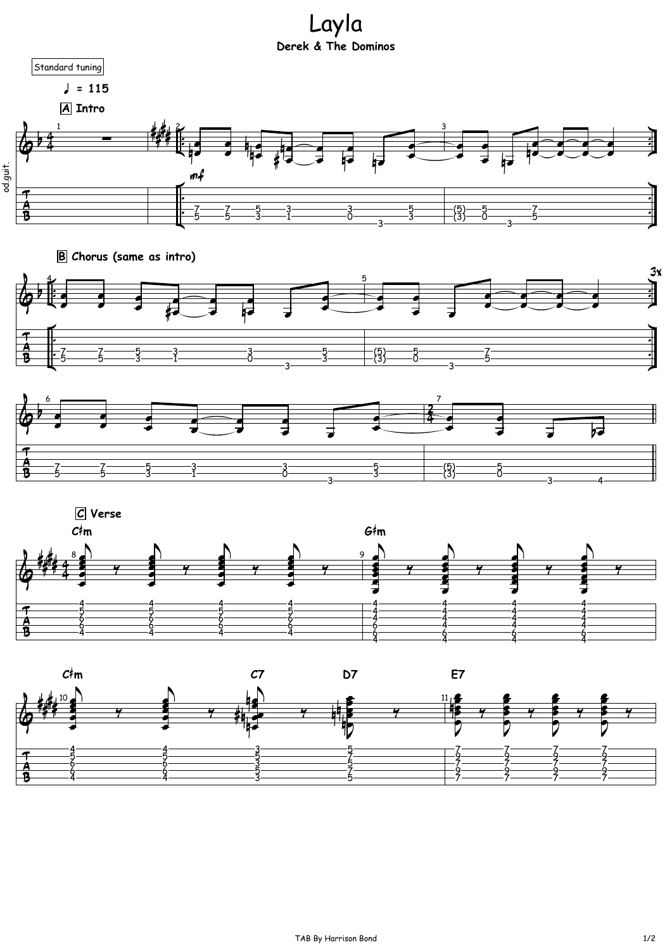Layla **Derek & The Dominos**